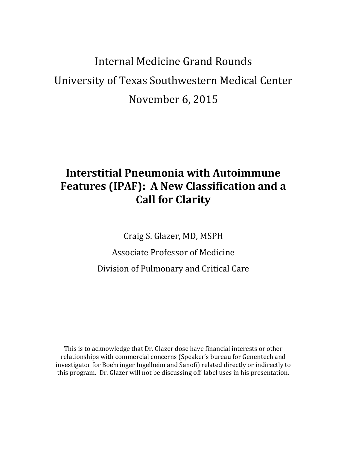# Internal Medicine Grand Rounds University of Texas Southwestern Medical Center November 6, 2015

## **Interstitial Pneumonia with Autoimmune Features (IPAF): A New Classification and a Call for Clarity**

Craig S. Glazer, MD, MSPH

Associate Professor of Medicine Division of Pulmonary and Critical Care

This is to acknowledge that Dr. Glazer dose have financial interests or other relationships with commercial concerns (Speaker's bureau for Genentech and investigator for Boehringer Ingelheim and Sanofi) related directly or indirectly to this program. Dr. Glazer will not be discussing off-label uses in his presentation.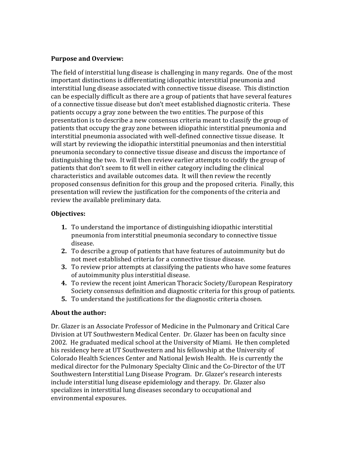#### **Purpose and Overview:**

The field of interstitial lung disease is challenging in many regards. One of the most important distinctions is differentiating idiopathic interstitial pneumonia and interstitial lung disease associated with connective tissue disease. This distinction can be especially difficult as there are a group of patients that have several features of a connective tissue disease but don't meet established diagnostic criteria. These patients occupy a gray zone between the two entities. The purpose of this presentation is to describe a new consensus criteria meant to classify the group of patients that occupy the gray zone between idiopathic interstitial pneumonia and interstitial pneumonia associated with well-defined connective tissue disease. It will start by reviewing the idiopathic interstitial pneumonias and then interstitial pneumonia secondary to connective tissue disease and discuss the importance of distinguishing the two. It will then review earlier attempts to codify the group of patients that don't seem to fit well in either category including the clinical characteristics and available outcomes data. It will then review the recently proposed consensus definition for this group and the proposed criteria. Finally, this presentation will review the justification for the components of the criteria and review the available preliminary data.

### **Objectives:**

- **1.** To understand the importance of distinguishing idiopathic interstitial pneumonia from interstitial pneumonia secondary to connective tissue disease.
- **2.** To describe a group of patients that have features of autoimmunity but do not meet established criteria for a connective tissue disease.
- **3.** To review prior attempts at classifying the patients who have some features of autoimmunity plus interstitial disease.
- **4.** To review the recent joint American Thoracic Society/European Respiratory Society consensus definition and diagnostic criteria for this group of patients.
- **5.** To understand the justifications for the diagnostic criteria chosen.

### **About the author:**

Dr. Glazer is an Associate Professor of Medicine in the Pulmonary and Critical Care Division at UT Southwestern Medical Center. Dr. Glazer has been on faculty since 2002. He graduated medical school at the University of Miami. He then completed his residency here at UT Southwestern and his fellowship at the University of Colorado Health Sciences Center and National Jewish Health. He is currently the medical director for the Pulmonary Specialty Clinic and the Co-Director of the UT Southwestern Interstitial Lung Disease Program. Dr. Glazer's research interests include interstitial lung disease epidemiology and therapy. Dr. Glazer also specializes in interstitial lung diseases secondary to occupational and environmental exposures.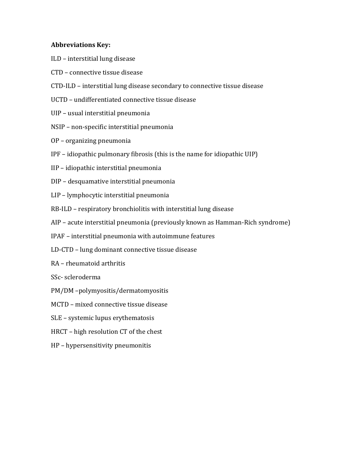#### **Abbreviations Key:**

- ILD interstitial lung disease
- CTD connective tissue disease
- CTD-ILD interstitial lung disease secondary to connective tissue disease
- UCTD undifferentiated connective tissue disease
- UIP usual interstitial pneumonia
- NSIP non-specific interstitial pneumonia
- OP organizing pneumonia
- IPF idiopathic pulmonary fibrosis (this is the name for idiopathic UIP)
- IIP idiopathic interstitial pneumonia
- DIP desquamative interstitial pneumonia
- LIP lymphocytic interstitial pneumonia
- RB-ILD respiratory bronchiolitis with interstitial lung disease
- AIP acute interstitial pneumonia (previously known as Hamman-Rich syndrome)
- IPAF interstitial pneumonia with autoimmune features
- LD-CTD lung dominant connective tissue disease
- RA rheumatoid arthritis
- SSc- scleroderma
- PM/DM –polymyositis/dermatomyositis
- MCTD mixed connective tissue disease
- SLE systemic lupus erythematosis
- HRCT high resolution CT of the chest
- HP hypersensitivity pneumonitis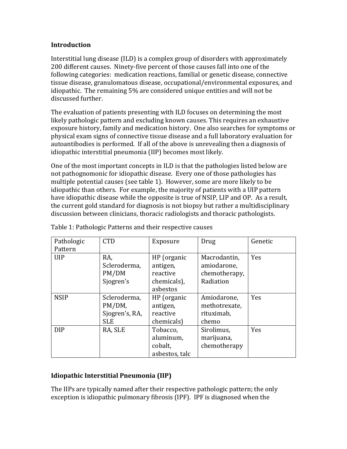#### **Introduction**

Interstitial lung disease (ILD) is a complex group of disorders with approximately 200 different causes. Ninety-five percent of those causes fall into one of the following categories: medication reactions, familial or genetic disease, connective tissue disease, granulomatous disease, occupational/environmental exposures, and idiopathic. The remaining 5% are considered unique entities and will not be discussed further.

The evaluation of patients presenting with ILD focuses on determining the most likely pathologic pattern and excluding known causes. This requires an exhaustive exposure history, family and medication history. One also searches for symptoms or physical exam signs of connective tissue disease and a full laboratory evaluation for autoantibodies is performed. If all of the above is unrevealing then a diagnosis of idiopathic interstitial pneumonia (IIP) becomes most likely.

One of the most important concepts in ILD is that the pathologies listed below are not pathognomonic for idiopathic disease. Every one of those pathologies has multiple potential causes (see table 1). However, some are more likely to be idiopathic than others. For example, the majority of patients with a UIP pattern have idiopathic disease while the opposite is true of NSIP, LIP and OP. As a result, the current gold standard for diagnosis is not biopsy but rather a multidisciplinary discussion between clinicians, thoracic radiologists and thoracic pathologists.

| Pathologic  | <b>CTD</b>     | Exposure       |               | Genetic    |
|-------------|----------------|----------------|---------------|------------|
|             |                |                | Drug          |            |
| Pattern     |                |                |               |            |
| <b>UIP</b>  | RA,            | HP (organic    | Macrodantin,  | Yes        |
|             | Scleroderma,   | antigen,       | amiodarone,   |            |
|             | PM/DM          | reactive       | chemotherapy, |            |
|             | Sjogren's      | chemicals),    | Radiation     |            |
|             |                | asbestos       |               |            |
| <b>NSIP</b> | Scleroderma,   | HP (organic    | Amiodarone,   | <b>Yes</b> |
|             | PM/DM,         | antigen,       | methotrexate, |            |
|             | Sjogren's, RA, | reactive       | rituximab,    |            |
|             | <b>SLE</b>     | chemicals)     | chemo         |            |
| <b>DIP</b>  | RA, SLE        | Tobacco,       | Sirolimus,    | Yes        |
|             |                | aluminum,      | marijuana,    |            |
|             |                | cobalt,        | chemotherapy  |            |
|             |                | asbestos, talc |               |            |

Table 1: Pathologic Patterns and their respective causes

## **Idiopathic Interstitial Pneumonia (IIP)**

The IIPs are typically named after their respective pathologic pattern; the only exception is idiopathic pulmonary fibrosis (IPF). IPF is diagnosed when the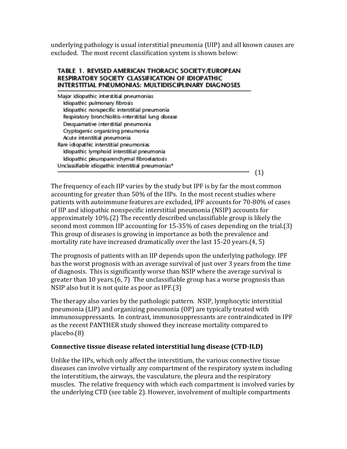underlying pathology is usual interstitial pneumonia (UIP) and all known causes are excluded. The most recent classification system is shown below:

#### TABLE 1. REVISED AMERICAN THORACIC SOCIETY/EUROPEAN **RESPIRATORY SOCIETY CLASSIFICATION OF IDIOPATHIC INTERSTITIAL PNEUMONIAS: MULTIDISCIPLINARY DIAGNOSES**

| Major idiopathic interstitial pneumonias            |  |
|-----------------------------------------------------|--|
| Idiopathic pulmonary fibrosis                       |  |
| Idiopathic nonspecific interstitial pneumonia       |  |
| Respiratory bronchiolitis-interstitial lung disease |  |
| Desquamative interstitial pneumonia                 |  |
| Cryptogenic organizing pneumonia                    |  |
| Acute interstitial pneumonia                        |  |
| Rare idiopathic interstitial pneumonias             |  |
| Idiopathic lymphoid interstitial pneumonia          |  |
| Idiopathic pleuroparenchymal fibroelastosis         |  |
| Unclassifiable idiopathic interstitial pneumonias*  |  |
|                                                     |  |

The frequency of each IIP varies by the study but IPF is by far the most common accounting for greater than 50% of the IIPs. In the most recent studies where patients with autoimmune features are excluded, IPF accounts for 70-80% of cases of IIP and idiopathic nonspecific interstitial pneumonia (NSIP) accounts for approximately 10%.(2) The recently described unclassifiable group is likely the second most common IIP accounting for 15-35% of cases depending on the trial.(3) This group of diseases is growing in importance as both the prevalence and mortality rate have increased dramatically over the last 15-20 years.(4, 5)

The prognosis of patients with an IIP depends upon the underlying pathology. IPF has the worst prognosis with an average survival of just over 3 years from the time of diagnosis. This is significantly worse than NSIP where the average survival is greater than 10 years.(6, 7) The unclassifiable group has a worse prognosis than NSIP also but it is not quite as poor as IPF.(3)

The therapy also varies by the pathologic pattern. NSIP, lymphocytic interstitial pneumonia (LIP) and organizing pneumonia (OP) are typically treated with immunosuppressants. In contrast, immunosuppressants are contraindicated in IPF as the recent PANTHER study showed they increase mortality compared to placebo.(8)

#### **Connective tissue disease related interstitial lung disease (CTD-ILD)**

Unlike the IIPs, which only affect the interstitium, the various connective tissue diseases can involve virtually any compartment of the respiratory system including the interstitium, the airways, the vasculature, the pleura and the respiratory muscles. The relative frequency with which each compartment is involved varies by the underlying CTD (see table 2). However, involvement of multiple compartments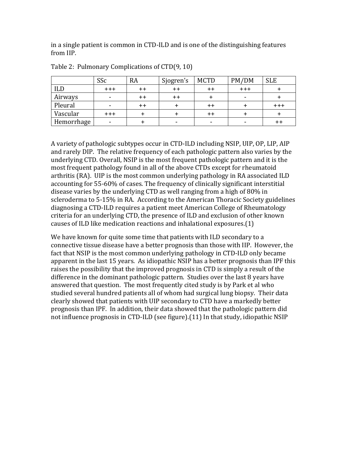in a single patient is common in CTD-ILD and is one of the distinguishing features from IIP.

|            | SSc                      | <b>RA</b>       | Sjogren's       | <b>MCTD</b>     | PM/DM   | <b>SLE</b> |
|------------|--------------------------|-----------------|-----------------|-----------------|---------|------------|
| ILD        | $+ + +$                  | $++$            | $^{\mathrm{+}}$ | $^{\mathrm{+}}$ | $+ + +$ |            |
| Airways    | ٠.                       | $++$            | $^{\mathrm{+}}$ |                 |         |            |
| Pleural    | $\overline{\phantom{a}}$ | $^{\mathrm{+}}$ |                 | ++              |         | $^{+++}$   |
| Vascular   | $+ + +$                  |                 |                 |                 |         |            |
| Hemorrhage | -                        |                 |                 |                 |         | ++         |

Table 2: Pulmonary Complications of CTD(9, 10)

A variety of pathologic subtypes occur in CTD-ILD including NSIP, UIP, OP, LIP, AIP and rarely DIP. The relative frequency of each pathologic pattern also varies by the underlying CTD. Overall, NSIP is the most frequent pathologic pattern and it is the most frequent pathology found in all of the above CTDs except for rheumatoid arthritis (RA). UIP is the most common underlying pathology in RA associated ILD accounting for 55-60% of cases. The frequency of clinically significant interstitial disease varies by the underlying CTD as well ranging from a high of 80% in scleroderma to 5-15% in RA. According to the American Thoracic Society guidelines diagnosing a CTD-ILD requires a patient meet American College of Rheumatology criteria for an underlying CTD, the presence of ILD and exclusion of other known causes of ILD like medication reactions and inhalational exposures.(1)

We have known for quite some time that patients with ILD secondary to a connective tissue disease have a better prognosis than those with IIP. However, the fact that NSIP is the most common underlying pathology in CTD-ILD only became apparent in the last 15 years. As idiopathic NSIP has a better prognosis than IPF this raises the possibility that the improved prognosis in CTD is simply a result of the difference in the dominant pathologic pattern. Studies over the last 8 years have answered that question. The most frequently cited study is by Park et al who studied several hundred patients all of whom had surgical lung biopsy. Their data clearly showed that patients with UIP secondary to CTD have a markedly better prognosis than IPF. In addition, their data showed that the pathologic pattern did not influence prognosis in CTD-ILD (see figure).(11) In that study, idiopathic NSIP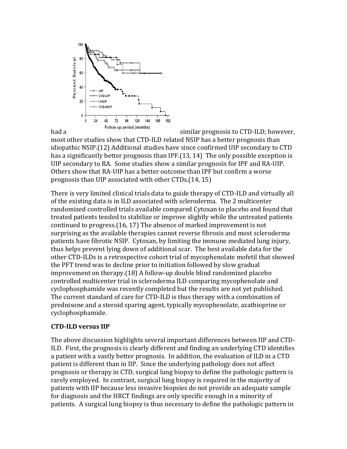

most other studies show that CTD-ILD related NSIP has a better prognosis than idiopathic NSIP.(12) Additional studies have since confirmed UIP secondary to CTD has a significantly better prognosis than IPF.(13, 14) The only possible exception is UIP secondary to RA. Some studies show a similar prognosis for IPF and RA-UIP. Others show that RA-UIP has a better outcome than IPF but confirm a worse prognosis than UIP associated with other CTDs.(14, 15)

There is very limited clinical trials data to guide therapy of CTD-ILD and virtually all of the existing data is in ILD associated with scleroderma. The 2 multicenter randomized controlled trials available compared Cytoxan to placebo and found that treated patients tended to stabilize or improve slightly while the untreated patients continued to progress.(16, 17) The absence of marked improvement is not surprising as the available therapies cannot reverse fibrosis and most scleroderma patients have fibrotic NSIP. Cytoxan, by limiting the immune mediated lung injury, thus helps prevent lying down of additional scar. The best available data for the other CTD-ILDs is a retrospective cohort trial of mycophenolate mofetil that showed the PFT trend was to decline prior to initiation followed by slow gradual improvement on therapy.(18) A follow-up double blind randomized placebo controlled multicenter trial in scleroderma ILD comparing mycophenolate and cyclophosphamide was recently completed but the results are not yet published. The current standard of care for CTD-ILD is thus therapy with a combination of prednisone and a steroid sparing agent, typically mycophenolate, azathioprine or cyclophosphamide.

#### **CTD-ILD versus IIP**

The above discussion highlights several important differences between IIP and CTD-ILD. First, the prognosis is clearly different and finding an underlying CTD identifies a patient with a vastly better prognosis. In addition, the evaluation of ILD in a CTD patient is different than in IIP. Since the underlying pathology does not affect prognosis or therapy in CTD, surgical lung biopsy to define the pathologic pattern is rarely employed. In contrast, surgical lung biopsy is required in the majority of patients with IIP because less invasive biopsies do not provide an adequate sample for diagnosis and the HRCT findings are only specific enough in a minority of patients. A surgical lung biopsy is thus necessary to define the pathologic pattern in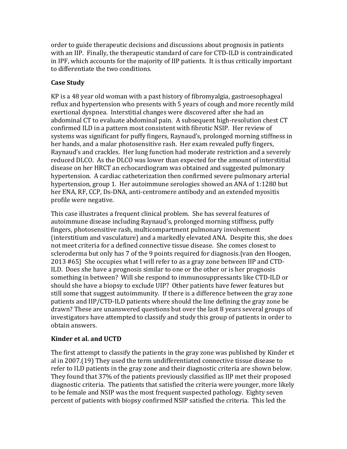order to guide therapeutic decisions and discussions about prognosis in patients with an IIP. Finally, the therapeutic standard of care for CTD-ILD is contraindicated in IPF, which accounts for the majority of IIP patients. It is thus critically important to differentiate the two conditions.

## **Case Study**

KP is a 48 year old woman with a past history of fibromyalgia, gastroesophageal reflux and hypertension who presents with 5 years of cough and more recently mild exertional dyspnea. Interstitial changes were discovered after she had an abdominal CT to evaluate abdominal pain. A subsequent high-resolution chest CT confirmed ILD in a pattern most consistent with fibrotic NSIP. Her review of systems was significant for puffy fingers, Raynaud's, prolonged morning stiffness in her hands, and a malar photosensitive rash. Her exam revealed puffy fingers, Raynaud's and crackles. Her lung function had moderate restriction and a severely reduced DLCO. As the DLCO was lower than expected for the amount of interstitial disease on her HRCT an echocardiogram was obtained and suggested pulmonary hypertension. A cardiac catheterization then confirmed severe pulmonary arterial hypertension, group 1. Her autoimmune serologies showed an ANA of 1:1280 but her ENA, RF, CCP, Ds-DNA, anti-centromere antibody and an extended myositis profile were negative.

This case illustrates a frequent clinical problem. She has several features of autoimmune disease including Raynaud's, prolonged morning stiffness, puffy fingers, photosensitive rash, multicompartment pulmonary involvement (interstitium and vasculature) and a markedly elevated ANA. Despite this, she does not meet criteria for a defined connective tissue disease. She comes closest to scleroderma but only has 7 of the 9 points required for diagnosis.{van den Hoogen, 2013 #65} She occupies what I will refer to as a gray zone between IIP and CTD-ILD. Does she have a prognosis similar to one or the other or is her prognosis something in between? Will she respond to immunosuppressants like CTD-ILD or should she have a biopsy to exclude UIP? Other patients have fewer features but still some that suggest autoimmunity. If there is a difference between the gray zone patients and IIP/CTD-ILD patients where should the line defining the gray zone be drawn? These are unanswered questions but over the last 8 years several groups of investigators have attempted to classify and study this group of patients in order to obtain answers.

### **Kinder et al. and UCTD**

The first attempt to classify the patients in the gray zone was published by Kinder et al in 2007.(19) They used the term undifferentiated connective tissue disease to refer to ILD patients in the gray zone and their diagnostic criteria are shown below. They found that 37% of the patients previously classified as IIP met their proposed diagnostic criteria. The patients that satisfied the criteria were younger, more likely to be female and NSIP was the most frequent suspected pathology. Eighty seven percent of patients with biopsy confirmed NSIP satisfied the criteria. This led the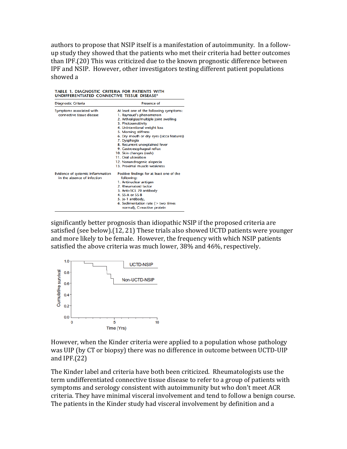authors to propose that NSIP itself is a manifestation of autoimmunity. In a followup study they showed that the patients who met their criteria had better outcomes than IPF.(20) This was criticized due to the known prognostic difference between IPF and NSIP. However, other investigators testing different patient populations showed a

TABLE 1. DIAGNOSTIC CRITERIA FOR PATIENTS WITH UNDIFFERENTIATED CONNECTIVE TISSUE DISEASE\*

| Diagnostic Criteria                                              | Presence of                                             |  |  |  |  |
|------------------------------------------------------------------|---------------------------------------------------------|--|--|--|--|
| Symptoms associated with                                         | At least one of the following symptoms:                 |  |  |  |  |
| connective tissue disease                                        | 1. Raynaud's phenomenon                                 |  |  |  |  |
|                                                                  | 2. Arthralgias/multiple joint swelling                  |  |  |  |  |
|                                                                  | 3. Photosensitivity                                     |  |  |  |  |
|                                                                  | 4. Unintentional weight loss                            |  |  |  |  |
|                                                                  | 5. Morning stiffness                                    |  |  |  |  |
|                                                                  | 6. Dry mouth or dry eyes (sicca features)               |  |  |  |  |
|                                                                  | 7. Dysphagia                                            |  |  |  |  |
|                                                                  | 8. Recurrent unexplained fever                          |  |  |  |  |
|                                                                  | 9. Gastroesophageal reflux                              |  |  |  |  |
|                                                                  | 10. Skin changes (rash)                                 |  |  |  |  |
|                                                                  | 11. Oral ulceration                                     |  |  |  |  |
|                                                                  | 12. Nonandrogenic alopecia                              |  |  |  |  |
|                                                                  | 13. Proximal muscle weakness                            |  |  |  |  |
| Evidence of systemic inflammation<br>in the absence of infection | Positive findings for at least one of the<br>following: |  |  |  |  |
|                                                                  | 1. Antinuclear antigen                                  |  |  |  |  |
|                                                                  | 2. Rheumatoid factor                                    |  |  |  |  |
|                                                                  | 3. Anti-SCL 70 antibody                                 |  |  |  |  |
|                                                                  | 4. SS-A or SS-B                                         |  |  |  |  |
|                                                                  | 5. Jo-1 antibody,                                       |  |  |  |  |
|                                                                  | 6. Sedimentation rate ( $>$ two times                   |  |  |  |  |
|                                                                  | normal), C-reactive protein                             |  |  |  |  |

significantly better prognosis than idiopathic NSIP if the proposed criteria are satisfied (see below).(12, 21) These trials also showed UCTD patients were younger and more likely to be female. However, the frequency with which NSIP patients satisfied the above criteria was much lower, 38% and 46%, respectively.



However, when the Kinder criteria were applied to a population whose pathology was UIP (by CT or biopsy) there was no difference in outcome between UCTD-UIP and IPF.(22)

The Kinder label and criteria have both been criticized. Rheumatologists use the term undifferentiated connective tissue disease to refer to a group of patients with symptoms and serology consistent with autoimmunity but who don't meet ACR criteria. They have minimal visceral involvement and tend to follow a benign course. The patients in the Kinder study had visceral involvement by definition and a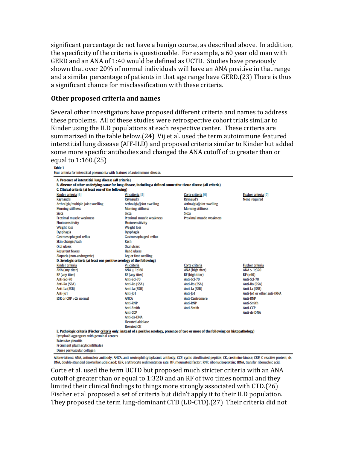significant percentage do not have a benign course, as described above. In addition, the specificity of the criteria is questionable. For example, a 60 year old man with GERD and an ANA of 1:40 would be defined as UCTD. Studies have previously shown that over 20% of normal individuals will have an ANA positive in that range and a similar percentage of patients in that age range have GERD.(23) There is thus a significant chance for misclassification with these criteria.

#### **Other proposed criteria and names**

Several other investigators have proposed different criteria and names to address these problems. All of these studies were retrospective cohort trials similar to Kinder using the ILD populations at each respective center. These criteria are summarized in the table below.(24) Vij et al. used the term autoimmune featured interstitial lung disease (AIF-ILD) and proposed criteria similar to Kinder but added some more specific antibodies and changed the ANA cutoff of to greater than or equal to 1:160.(25)

**Table 1** Four criteria for interstitial pneumonia with features of autoimmune disease.

| A Presence of interstitial lung disease (all criteria)                                                                                     |                           |                           |                             |  |  |  |  |  |
|--------------------------------------------------------------------------------------------------------------------------------------------|---------------------------|---------------------------|-----------------------------|--|--|--|--|--|
| B. Absence of other underlying cause for lung disease, including a defined connective tissue disease (all criteria)                        |                           |                           |                             |  |  |  |  |  |
| C. Clinical criteria (at least one of the following)                                                                                       |                           |                           |                             |  |  |  |  |  |
| Kinder criteria [4]                                                                                                                        | Vij criteria [5]          | Corte criteria [6]        | Fischer criteria [7]        |  |  |  |  |  |
| Raynaud's                                                                                                                                  | Raynaud's                 | Raynaud's                 | None required               |  |  |  |  |  |
| Arthralgia/multiple joint swelling                                                                                                         | Arthralgia/joint swelling | Arthralgia/joint swelling |                             |  |  |  |  |  |
| <b>Morning stiffness</b>                                                                                                                   | <b>Morning stiffness</b>  | <b>Morning stiffness</b>  |                             |  |  |  |  |  |
| <b>Sicca</b>                                                                                                                               | Sicca                     | Sicca                     |                             |  |  |  |  |  |
| Proximal muscle weakness                                                                                                                   | Proximal muscle weakness  | Proximal musde weakness   |                             |  |  |  |  |  |
| Photosensitivity                                                                                                                           | Photosensitivity          |                           |                             |  |  |  |  |  |
| <b>Weight loss</b>                                                                                                                         | <b>Weight loss</b>        |                           |                             |  |  |  |  |  |
| <b>Dysphagia</b>                                                                                                                           | <b>Dysphagia</b>          |                           |                             |  |  |  |  |  |
| Gastroesophageal reflux                                                                                                                    | Gastroesophageal reflux   |                           |                             |  |  |  |  |  |
| Skin changes/rash                                                                                                                          | Rash                      |                           |                             |  |  |  |  |  |
| <b>Oral ulcers</b>                                                                                                                         | Oral ulcers               |                           |                             |  |  |  |  |  |
| <b>Recurrent fevers</b>                                                                                                                    | Hand ulcers               |                           |                             |  |  |  |  |  |
| Alopecia (non-androgenic)                                                                                                                  | Leg or foot swelling      |                           |                             |  |  |  |  |  |
| D. Serologic criteria (at least one positive serology of the following)                                                                    |                           |                           |                             |  |  |  |  |  |
| Kinder criteria                                                                                                                            | Vij criteria              | Corte criteria            | Fischer criteria            |  |  |  |  |  |
| ANA (any titer)                                                                                                                            | ANA > 1:160               | ANA (high titer)          | ANA > 1:320                 |  |  |  |  |  |
| RF (any titer)                                                                                                                             | RF (any titer)            | RF (high titer)           | RF (>60)                    |  |  |  |  |  |
| Anti-Sd-70                                                                                                                                 | Anti-Sd-70                | Anti-Scl-70               | Anti-Scl-70                 |  |  |  |  |  |
| Anti-Ro (SSA)                                                                                                                              | Anti-Ro (SSA)             | Anti-Ro (SSA)             | Anti-Ro (SSA)               |  |  |  |  |  |
| Anti-La (SSB)                                                                                                                              | Anti-La (SSB)             | Anti-La (SSB)             | Anti-La (SSB)               |  |  |  |  |  |
| Anti-Jo1                                                                                                                                   | Anti-Jo1                  | Anti-Jo1                  | Anti-Jo1 or other anti-tRNA |  |  |  |  |  |
| ESR or CRP > 2x normal                                                                                                                     | <b>ANCA</b>               | Anti-Centromere           | Anti-RNP                    |  |  |  |  |  |
|                                                                                                                                            | Anti-RNP                  | Anti-RNP                  | Anti-Smith                  |  |  |  |  |  |
|                                                                                                                                            | Anti-Smith                | Anti-Smith                | Anti-CCP                    |  |  |  |  |  |
|                                                                                                                                            | Anti-CCP                  |                           | Anti-ds-DNA                 |  |  |  |  |  |
|                                                                                                                                            | Anti-ds-DNA               |                           |                             |  |  |  |  |  |
|                                                                                                                                            | <b>Elevated aldolase</b>  |                           |                             |  |  |  |  |  |
|                                                                                                                                            | <b>Elevated CK</b>        |                           |                             |  |  |  |  |  |
| E. Pathologic criteria (Fischer criteria only: instead of a positive serology, presence of two or more of the following on histopathology) |                           |                           |                             |  |  |  |  |  |
| Lymphoid aggregates with germinal centers                                                                                                  |                           |                           |                             |  |  |  |  |  |
| <b>Extensive pleuritis</b>                                                                                                                 |                           |                           |                             |  |  |  |  |  |
| Prominent plasmacytic infiltrates                                                                                                          |                           |                           |                             |  |  |  |  |  |

Dense perivascular collagen

Abbreviations: ANA, antinuclear antibody; ANCA, anti-neutrophil cytoplasmic antibody; CCP, cyclic citrullinated peptide; CK, creatinine kinase; CRP, C-reactive protein; ds-DNA, double-stranded deoxyribonudeic acid; ESR, erythrocyte sedimentation rate; RF, rheumatoid factor; RNP, ribonucleoprotein; tRNA, transfer ribonucleic acid.

Corte et al. used the term UCTD but proposed much stricter criteria with an ANA cutoff of greater than or equal to 1:320 and an RF of two times normal and they limited their clinical findings to things more strongly associated with CTD.(26) Fischer et al proposed a set of criteria but didn't apply it to their ILD population. They proposed the term lung-dominant CTD (LD-CTD).(27) Their criteria did not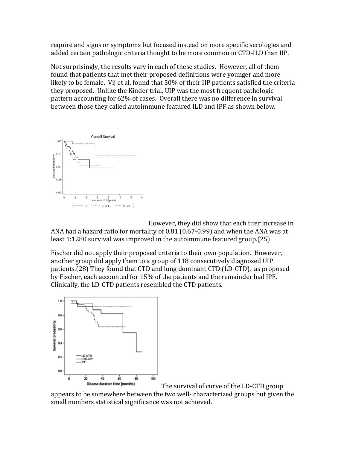require and signs or symptoms but focused instead on more specific serologies and added certain pathologic criteria thought to be more common in CTD-ILD than IIP.

Not surprisingly, the results vary in each of these studies. However, all of them found that patients that met their proposed definitions were younger and more likely to be female. Vij et al. found that 50% of their IIP patients satisfied the criteria they proposed. Unlike the Kinder trial, UIP was the most frequent pathologic pattern accounting for 62% of cases. Overall there was no difference in survival between those they called autoimmune featured ILD and IPF as shown below.



However, they did show that each titer increase in ANA had a hazard ratio for mortality of 0.81 (0.67-0.99) and when the ANA was at least 1:1280 survival was improved in the autoimmune featured group.(25)

Fischer did not apply their proposed criteria to their own population. However, another group did apply them to a group of 118 consecutively diagnosed UIP patients.(28) They found that CTD and lung dominant CTD (LD-CTD), as proposed by Fischer, each accounted for 15% of the patients and the remainder had IPF. Clinically, the LD-CTD patients resembled the CTD patients.



The survival of curve of the LD-CTD group

appears to be somewhere between the two well- characterized groups but given the small numbers statistical significance was not achieved.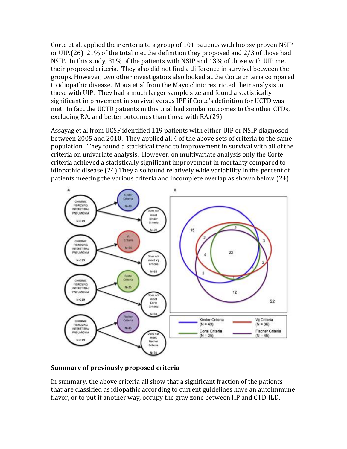Corte et al. applied their criteria to a group of 101 patients with biopsy proven NSIP or UIP.(26) 21% of the total met the definition they proposed and 2/3 of those had NSIP. In this study, 31% of the patients with NSIP and 13% of those with UIP met their proposed criteria. They also did not find a difference in survival between the groups. However, two other investigators also looked at the Corte criteria compared to idiopathic disease. Moua et al from the Mayo clinic restricted their analysis to those with UIP. They had a much larger sample size and found a statistically significant improvement in survival versus IPF if Corte's definition for UCTD was met. In fact the UCTD patients in this trial had similar outcomes to the other CTDs, excluding RA, and better outcomes than those with RA.(29)

Assayag et al from UCSF identified 119 patients with either UIP or NSIP diagnosed between 2005 and 2010. They applied all 4 of the above sets of criteria to the same population. They found a statistical trend to improvement in survival with all of the criteria on univariate analysis. However, on multivariate analysis only the Corte criteria achieved a statistically significant improvement in mortality compared to idiopathic disease.(24) They also found relatively wide variability in the percent of patients meeting the various criteria and incomplete overlap as shown below:(24)



#### **Summary of previously proposed criteria**

In summary, the above criteria all show that a significant fraction of the patients that are classified as idiopathic according to current guidelines have an autoimmune flavor, or to put it another way, occupy the gray zone between IIP and CTD-ILD.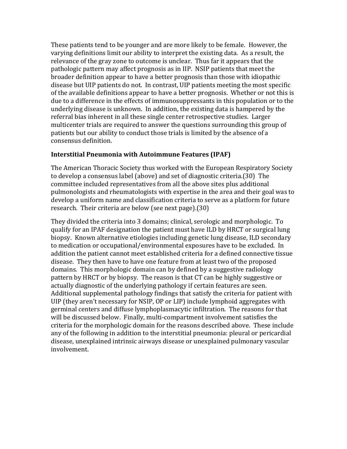These patients tend to be younger and are more likely to be female. However, the varying definitions limit our ability to interpret the existing data. As a result, the relevance of the gray zone to outcome is unclear. Thus far it appears that the pathologic pattern may affect prognosis as in IIP. NSIP patients that meet the broader definition appear to have a better prognosis than those with idiopathic disease but UIP patients do not. In contrast, UIP patients meeting the most specific of the available definitions appear to have a better prognosis. Whether or not this is due to a difference in the effects of immunosuppressants in this population or to the underlying disease is unknown. In addition, the existing data is hampered by the referral bias inherent in all these single center retrospective studies. Larger multicenter trials are required to answer the questions surrounding this group of patients but our ability to conduct those trials is limited by the absence of a consensus definition.

#### **Interstitial Pneumonia with Autoimmune Features (IPAF)**

The American Thoracic Society thus worked with the European Respiratory Society to develop a consensus label (above) and set of diagnostic criteria.(30) The committee included representatives from all the above sites plus additional pulmonologists and rheumatologists with expertise in the area and their goal was to develop a uniform name and classification criteria to serve as a platform for future research. Their criteria are below (see next page).(30)

They divided the criteria into 3 domains; clinical, serologic and morphologic. To qualify for an IPAF designation the patient must have ILD by HRCT or surgical lung biopsy. Known alternative etiologies including genetic lung disease, ILD secondary to medication or occupational/environmental exposures have to be excluded. In addition the patient cannot meet established criteria for a defined connective tissue disease. They then have to have one feature from at least two of the proposed domains. This morphologic domain can by defined by a suggestive radiology pattern by HRCT or by biopsy. The reason is that CT can be highly suggestive or actually diagnostic of the underlying pathology if certain features are seen. Additional supplemental pathology findings that satisfy the criteria for patient with UIP (they aren't necessary for NSIP, OP or LIP) include lymphoid aggregates with germinal centers and diffuse lymphoplasmacytic infiltration. The reasons for that will be discussed below. Finally, multi-compartment involvement satisfies the criteria for the morphologic domain for the reasons described above. These include any of the following in addition to the interstitial pneumonia: pleural or pericardial disease, unexplained intrinsic airways disease or unexplained pulmonary vascular involvement.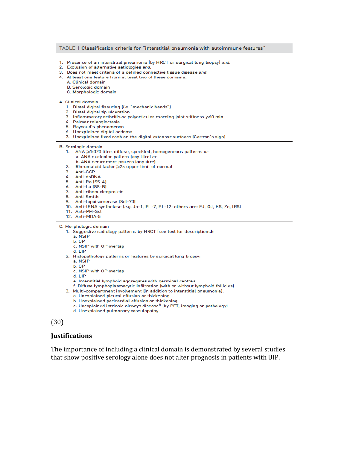#### TABLE 1 Classification criteria for "interstitial pneumonia with autoimmune features"

- 1. Presence of an interstitial pneumonia (by HRCT or surgical lung biopsy) and,
- 2. Exclusion of alternative aetiologies and,
- 3. Does not meet criteria of a defined connective tissue disease and,
- 4. At least one feature from at least two of these domains:
	- A. Clinical domain
	- **B.** Serologic domain
	- C. Morphologic domain

#### A. Clinical domain

- 1. Distal digital fissuring (i.e. "mechanic hands")
- 2. Distal digital tip ulceration
- 3. Inflammatory arthritis or polyarticular morning joint stiffness >60 min
- 4. Palmar telangiectasia
- 5. Raynaud's phenomenon
- 6. Unexplained digital oedema
- 7. Unexplained fixed rash on the digital extensor surfaces (Gottron's sign)

**B.** Serologic domain

- 1. ANA ≥1:320 titre, diffuse, speckled, homogeneous patterns or a. ANA nucleolar pattern (any titre) or
	- b. ANA centromere pattern (any titre)
- 2. Rheumatoid factor ≥2x upper limit of normal
- 3. Anti-CCP
- 
- 4. Anti-dsDNA<br>5. Anti-Ro (SS-A)
- 6. Anti-La (SS-B)
- 7. Anti-ribonucleoprotein
- 8. Anti-Smith
- 9. Anti-topoisomerase (Scl-70)
- 10. Anti-tRNA synthetase (e.g. Jo-1, PL-7, PL-12; others are: EJ, OJ, KS, Zo, tRS)
- 11. Anti-PM-Scl
- 12. Anti-MDA-5

C. Morphologic domain

- 1. Suggestive radiology patterns by HRCT (see text for descriptions):
	- a. NSIP
	- b. OP
	- c. NSIP with OP overlap
	- d. LIP
- 2. Histopathology patterns or features by surgical lung biopsy:
	- a. NSIP
	- b. OP
	- c. NSIP with OP overlap
	- $d.$  LIP
	- e. Interstitial lymphoid aggregates with germinal centres
	- f. Diffuse lymphoplasmacytic infiltration (with or without lymphoid follicles)
- 3. Multi-compartment involvement (in addition to interstitial pneumonia):
	- a. Unexplained pleural effusion or thickening
	- b. Unexplained pericardial effusion or thickening
	- c. Unexplained intrinsic airways disease<sup>#</sup> (by PFT, imaging or pathology)
	- d. Unexplained pulmonary vasculopathy

#### (30)

#### **Justifications**

The importance of including a clinical domain is demonstrated by several studies that show positive serology alone does not alter prognosis in patients with UIP.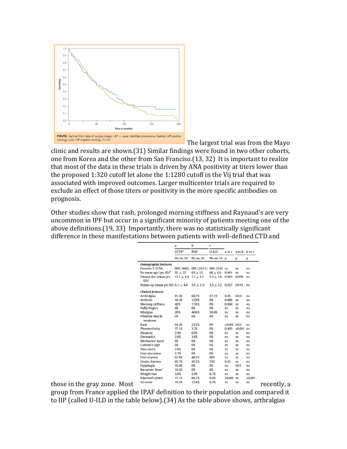

The largest trial was from the Mayo clinic and results are shown.(31) Similar findings were found in two other cohorts, one from Korea and the other from San Franciso.(13, 32) It is important to realize that most of the data in these trials is driven by ANA positivity at titers lower than the proposed 1:320 cutoff let alone the 1:1280 cutoff in the Vij trial that was associated with improved outcomes. Larger multicenter trials are required to exclude an effect of those titers or positivity in the more specific antibodies on prognosis.

Other studies show that rash, prolonged morning stiffness and Raynaud's are very uncommon in IPF but occur in a significant minority of patients meeting one of the above definitions.(19, 33) Importantly, there was no statistically significant difference in these manifestations between patients with well-defined CTD and

|                              |                                                     | a<br><b>UCTD<sup>e</sup></b> | b                                   | c                            |                 |                   |           |
|------------------------------|-----------------------------------------------------|------------------------------|-------------------------------------|------------------------------|-----------------|-------------------|-----------|
|                              |                                                     |                              | <b>IPAF</b>                         | $U$ -ILD                     |                 | a vsc a vsb b vsc |           |
|                              |                                                     | <b>Pts no. 52</b>            | Pts no. 35                          | Pts no. 15 p                 |                 | p                 | p         |
|                              | <b>Demographic features</b>                         |                              |                                     |                              |                 |                   |           |
|                              | Females % (F/M)                                     |                              | 86% (44/8) 69% (24/11) 60% (9/6) ns |                              |                 | <b>ns</b>         | ns        |
|                              | Pts mean age (yrs SD) <sup>b</sup>                  | $55 \pm 13$                  | $63 \pm 12$                         | $68 \pm 8.9$ 0.001 ns        |                 |                   | ns        |
|                              | Disease dur (mean yrs<br>SD) <sup>2</sup>           | $12.1 \pm 84$ 7.1 $\pm 3.1$  |                                     | $5.3 \pm 2.6$ 0.003 0.009    |                 |                   | ns        |
|                              | Follow-up (mean yrs SD) $6.1 \pm 4.4$ 3.9 $\pm$ 2.9 |                              |                                     | $3.5 \pm 2.2$ 0.027 0.019 ns |                 |                   |           |
|                              | <b>Clinical features</b>                            |                              |                                     |                              |                 |                   |           |
|                              | <b>Arthralgias</b>                                  | 91.4%                        | 66.7%                               | 57.1%                        | 0.05            | 0.04              | ns        |
|                              | <b>Arthritis</b>                                    | 34.3%                        | 12.9%                               | 0%                           | 0.009           | ns                | <b>ns</b> |
|                              | <b>Morning stiffness</b>                            | 40%                          | 17.8%                               | 0%                           | $0.004$ ns      |                   | ns        |
|                              | Puffy fingers                                       | 0%                           | 0%                                  | 0%                           | ns              | ns                | ns        |
|                              | <b>Myalgias</b>                                     | 20%                          | 40.6%                               | 30.4%                        | ns              | <b>ns</b>         | ns        |
|                              | Proximal muscle<br>weakness                         | 0%                           | 0%                                  | 0%                           | ns              | ns                | ns        |
|                              | Rash                                                | 54.3%                        | 23.3%                               | 0%                           | $≤0.001$ 0.02   |                   | ns        |
|                              | Phosensitivity                                      | 37.1%                        | 3.7%                                | 0%                           | 0.005           | $\leq 0.001$ ns   |           |
|                              | <b>Alopecia</b>                                     | 2.9%                         | 0.0%                                | 0%                           | ns              | ns                | ns        |
|                              | <b>Dermatitis</b>                                   | 2.9%                         | 3.6%                                | 0%                           | ns              | ns                | <b>ns</b> |
|                              | Mechanics' hand                                     | O%                           | 0%                                  | 0%                           | ns              | ns                | <b>ns</b> |
|                              | <b>Gottron's sign</b>                               | O%                           | 0%                                  | 0%                           | ns              | ns                | ns        |
|                              | <b>Skin ulcers</b>                                  | 2.9%                         | 0%                                  | 0%                           | ns              | ns                | ns        |
|                              | Oral ulceration                                     | 5.7%                         | 0%                                  | 0%                           | ns              | ns                | ns        |
|                              | Oral dryness                                        | 62.9%                        | 48.2%                               | 40%                          | ns              | ns                | ns        |
|                              | Ocular dryness                                      | 65.7%                        | 45.2%                               | 25%                          | 0.01            | ns                | ns        |
|                              | Dysphagia                                           | 19.4%                        | 0%                                  | 0%                           | ns              | 0.01              | <b>ns</b> |
|                              | Recurrent fever <sup>c</sup>                        | 10.3%                        | 0%                                  | 0%                           | ns              | <b>ns</b>         | ns        |
|                              | <b>Weight loss</b>                                  | 3.6%                         | 2.9%                                | 6.7%                         | ns              | <b>ns</b>         | ns        |
|                              | Raynaud's phen.                                     | 77.1%                        | 66.7%                               | 0.0%                         | $\leq 0.001$ ns |                   | ≤0.001    |
| those in the gray zone. Most | <b>Serositis</b>                                    | 14.3%                        | 15.4%                               | 6.7%                         | <b>ns</b>       | <b>ns</b>         | ns        |

group from France applied the IPAF definition to their population and compared it to IIP (called U-ILD in the table below).(34) As the table above shows, arthralgias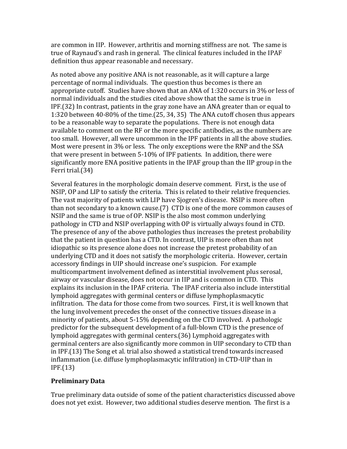are common in IIP. However, arthritis and morning stiffness are not. The same is true of Raynaud's and rash in general. The clinical features included in the IPAF definition thus appear reasonable and necessary.

As noted above any positive ANA is not reasonable, as it will capture a large percentage of normal individuals. The question thus becomes is there an appropriate cutoff. Studies have shown that an ANA of 1:320 occurs in 3% or less of normal individuals and the studies cited above show that the same is true in IPF.(32) In contrast, patients in the gray zone have an ANA greater than or equal to 1:320 between 40-80% of the time.(25, 34, 35) The ANA cutoff chosen thus appears to be a reasonable way to separate the populations. There is not enough data available to comment on the RF or the more specific antibodies, as the numbers are too small. However, all were uncommon in the IPF patients in all the above studies. Most were present in 3% or less. The only exceptions were the RNP and the SSA that were present in between 5-10% of IPF patients. In addition, there were significantly more ENA positive patients in the IPAF group than the IIP group in the Ferri trial.(34)

Several features in the morphologic domain deserve comment. First, is the use of NSIP, OP and LIP to satisfy the criteria. This is related to their relative frequencies. The vast majority of patients with LIP have Sjogren's disease. NSIP is more often than not secondary to a known cause.(7) CTD is one of the more common causes of NSIP and the same is true of OP. NSIP is the also most common underlying pathology in CTD and NSIP overlapping with OP is virtually always found in CTD. The presence of any of the above pathologies thus increases the pretest probability that the patient in question has a CTD. In contrast, UIP is more often than not idiopathic so its presence alone does not increase the pretest probability of an underlying CTD and it does not satisfy the morphologic criteria. However, certain accessory findings in UIP should increase one's suspicion. For example multicompartment involvement defined as interstitial involvement plus serosal, airway or vascular disease, does not occur in IIP and is common in CTD. This explains its inclusion in the IPAF criteria. The IPAF criteria also include interstitial lymphoid aggregates with germinal centers or diffuse lymphoplasmacytic infiltration. The data for those come from two sources. First, it is well known that the lung involvement precedes the onset of the connective tissues disease in a minority of patients, about 5-15% depending on the CTD involved. A pathologic predictor for the subsequent development of a full-blown CTD is the presence of lymphoid aggregates with germinal centers.(36) Lymphoid aggregates with germinal centers are also significantly more common in UIP secondary to CTD than in IPF.(13) The Song et al. trial also showed a statistical trend towards increased inflammation (i.e. diffuse lymphoplasmacytic infiltration) in CTD-UIP than in IPF.(13)

### **Preliminary Data**

True preliminary data outside of some of the patient characteristics discussed above does not yet exist. However, two additional studies deserve mention. The first is a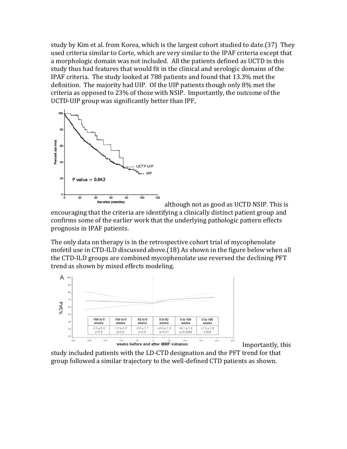study by Kim et al. from Korea, which is the largest cohort studied to date.(37) They used criteria similar to Corte, which are very similar to the IPAF criteria except that a morphologic domain was not included. All the patients defined as UCTD in this study thus had features that would fit in the clinical and serologic domains of the IPAF criteria. The study looked at 788 patients and found that 13.3% met the definition. The majority had UIP. Of the UIP patients though only 8% met the criteria as opposed to 23% of those with NSIP. Importantly, the outcome of the UCTD-UIP group was significantly better than IPF,



although not as good as UCTD NSIP. This is

encouraging that the criteria are identifying a clinically distinct patient group and confirms some of the earlier work that the underlying pathologic pattern effects prognosis in IPAF patients.

The only data on therapy is in the retrospective cohort trial of mycophenolate mofetil use in CTD-ILD discussed above.(18) As shown in the figure below when all the CTD-ILD groups are combined mycophenolate use reversed the declining PFT trend as shown by mixed effects modeling.



Importantly, this

study included patients with the LD-CTD designation and the PFT trend for that group followed a similar trajectory to the well-defined CTD patients as shown.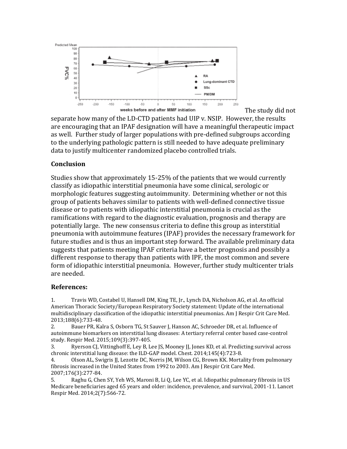

separate how many of the LD-CTD patients had UIP v. NSIP. However, the results are encouraging that an IPAF designation will have a meaningful therapeutic impact as well. Further study of larger populations with pre-defined subgroups according to the underlying pathologic pattern is still needed to have adequate preliminary data to justify multicenter randomized placebo controlled trials.

The study did not

#### **Conclusion**

Studies show that approximately 15-25% of the patients that we would currently classify as idiopathic interstitial pneumonia have some clinical, serologic or morphologic features suggesting autoimmunity. Determining whether or not this group of patients behaves similar to patients with well-defined connective tissue disease or to patients with idiopathic interstitial pneumonia is crucial as the ramifications with regard to the diagnostic evaluation, prognosis and therapy are potentially large. The new consensus criteria to define this group as interstitial pneumonia with autoimmune features (IPAF) provides the necessary framework for future studies and is thus an important step forward. The available preliminary data suggests that patients meeting IPAF criteria have a better prognosis and possibly a different response to therapy than patients with IPF, the most common and severe form of idiopathic interstitial pneumonia. However, further study multicenter trials are needed.

#### **References:**

1. Travis WD, Costabel U, Hansell DM, King TE, Jr., Lynch DA, Nicholson AG, et al. An official American Thoracic Society/European Respiratory Society statement: Update of the international multidisciplinary classification of the idiopathic interstitial pneumonias. Am J Respir Crit Care Med. 2013;188(6):733-48.

2. Bauer PR, Kalra S, Osborn TG, St Sauver J, Hanson AC, Schroeder DR, et al. Influence of autoimmune biomarkers on interstitial lung diseases: A tertiary referral center based case-control study. Respir Med. 2015;109(3):397-405.

3. Ryerson CJ, Vittinghoff E, Ley B, Lee JS, Mooney JJ, Jones KD, et al. Predicting survival across chronic interstitial lung disease: the ILD-GAP model. Chest. 2014;145(4):723-8.

4. Olson AL, Swigris JJ, Lezotte DC, Norris JM, Wilson CG, Brown KK. Mortality from pulmonary fibrosis increased in the United States from 1992 to 2003. Am J Respir Crit Care Med. 2007;176(3):277-84.

5. Raghu G, Chen SY, Yeh WS, Maroni B, Li Q, Lee YC, et al. Idiopathic pulmonary fibrosis in US Medicare beneficiaries aged 65 years and older: incidence, prevalence, and survival, 2001-11. Lancet Respir Med. 2014;2(7):566-72.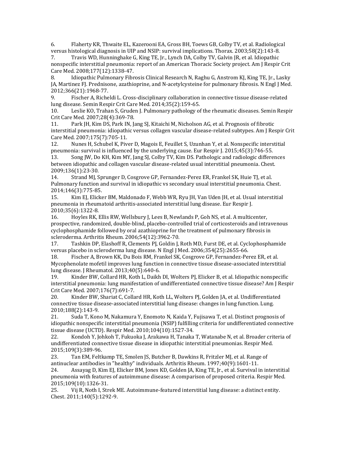6. Flaherty KR, Thwaite EL, Kazerooni EA, Gross BH, Toews GB, Colby TV, et al. Radiological versus histological diagnosis in UIP and NSIP: survival implications. Thorax. 2003;58(2):143-8.

7. Travis WD, Hunninghake G, King TE, Jr., Lynch DA, Colby TV, Galvin JR, et al. Idiopathic nonspecific interstitial pneumonia: report of an American Thoracic Society project. Am J Respir Crit Care Med. 2008;177(12):1338-47.

8. Idiopathic Pulmonary Fibrosis Clinical Research N, Raghu G, Anstrom KJ, King TE, Jr., Lasky JA, Martinez FJ. Prednisone, azathioprine, and N-acetylcysteine for pulmonary fibrosis. N Engl J Med. 2012;366(21):1968-77.

9. Fischer A, Richeldi L. Cross-disciplinary collaboration in connective tissue disease-related lung disease. Semin Respir Crit Care Med. 2014;35(2):159-65.

10. Leslie KO, Trahan S, Gruden J. Pulmonary pathology of the rheumatic diseases. Semin Respir Crit Care Med. 2007;28(4):369-78.

11. Park JH, Kim DS, Park IN, Jang SJ, Kitaichi M, Nicholson AG, et al. Prognosis of fibrotic interstitial pneumonia: idiopathic versus collagen vascular disease-related subtypes. Am J Respir Crit Care Med. 2007;175(7):705-11.

12. Nunes H, Schubel K, Piver D, Magois E, Feuillet S, Uzunhan Y, et al. Nonspecific interstitial pneumonia: survival is influenced by the underlying cause. Eur Respir J. 2015;45(3):746-55.

13. Song JW, Do KH, Kim MY, Jang SJ, Colby TV, Kim DS. Pathologic and radiologic differences between idiopathic and collagen vascular disease-related usual interstitial pneumonia. Chest. 2009;136(1):23-30.

14. Strand MJ, Sprunger D, Cosgrove GP, Fernandez-Perez ER, Frankel SK, Huie TJ, et al. Pulmonary function and survival in idiopathic vs secondary usual interstitial pneumonia. Chest. 2014;146(3):775-85.

15. Kim EJ, Elicker BM, Maldonado F, Webb WR, Ryu JH, Van Uden JH, et al. Usual interstitial pneumonia in rheumatoid arthritis-associated interstitial lung disease. Eur Respir J. 2010;35(6):1322-8.

16. Hoyles RK, Ellis RW, Wellsbury J, Lees B, Newlands P, Goh NS, et al. A multicenter, prospective, randomized, double-blind, placebo-controlled trial of corticosteroids and intravenous cyclophosphamide followed by oral azathioprine for the treatment of pulmonary fibrosis in scleroderma. Arthritis Rheum. 2006;54(12):3962-70.

17. Tashkin DP, Elashoff R, Clements PJ, Goldin J, Roth MD, Furst DE, et al. Cyclophosphamide versus placebo in scleroderma lung disease. N Engl J Med. 2006;354(25):2655-66.

18. Fischer A, Brown KK, Du Bois RM, Frankel SK, Cosgrove GP, Fernandez-Perez ER, et al. Mycophenolate mofetil improves lung function in connective tissue disease-associated interstitial lung disease. J Rheumatol. 2013;40(5):640-6.

19. Kinder BW, Collard HR, Koth L, Daikh DI, Wolters PJ, Elicker B, et al. Idiopathic nonspecific interstitial pneumonia: lung manifestation of undifferentiated connective tissue disease? Am J Respir Crit Care Med. 2007;176(7):691-7.

20. Kinder BW, Shariat C, Collard HR, Koth LL, Wolters PJ, Golden JA, et al. Undifferentiated connective tissue disease-associated interstitial lung disease: changes in lung function. Lung. 2010;188(2):143-9.

21. Suda T, Kono M, Nakamura Y, Enomoto N, Kaida Y, Fujisawa T, et al. Distinct prognosis of idiopathic nonspecific interstitial pneumonia (NSIP) fulfilling criteria for undifferentiated connective tissue disease (UCTD). Respir Med. 2010;104(10):1527-34.

22. Kondoh Y, Johkoh T, Fukuoka J, Arakawa H, Tanaka T, Watanabe N, et al. Broader criteria of undifferentiated connective tissue disease in idiopathic interstitial pneumonias. Respir Med. 2015;109(3):389-96.

23. Tan EM, Feltkamp TE, Smolen JS, Butcher B, Dawkins R, Fritzler MJ, et al. Range of antinuclear antibodies in "healthy" individuals. Arthritis Rheum. 1997;40(9):1601-11.

24. Assayag D, Kim EJ, Elicker BM, Jones KD, Golden JA, King TE, Jr., et al. Survival in interstitial pneumonia with features of autoimmune disease: A comparison of proposed criteria. Respir Med. 2015;109(10):1326-31.

25. Vij R, Noth I, Strek ME. Autoimmune-featured interstitial lung disease: a distinct entity. Chest. 2011;140(5):1292-9.